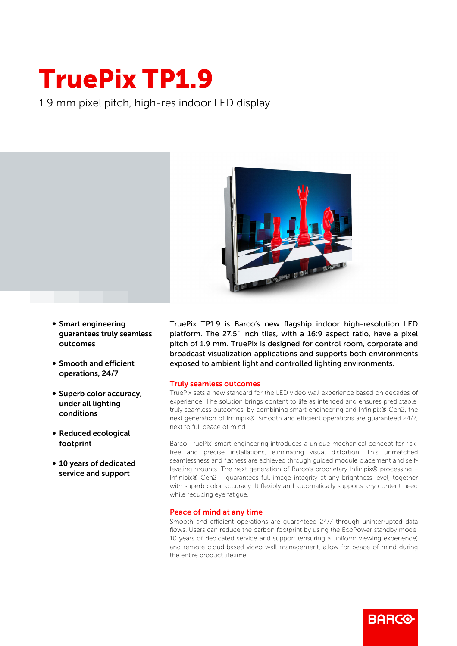## TruePix TP1.9

1.9 mm pixel pitch, high-res indoor LED display



- **Smart engineering** guarantees truly seamless outcomes
- Smooth and efficient operations, 24/7
- Superb color accuracy, under all lighting conditions
- Reduced ecological footprint
- 10 years of dedicated service and support

TruePix TP1.9 is Barco's new flagship indoor high-resolution LED platform. The 27.5" inch tiles, with a 16:9 aspect ratio, have a pixel pitch of 1.9 mm. TruePix is designed for control room, corporate and broadcast visualization applications and supports both environments exposed to ambient light and controlled lighting environments.

## Truly seamless outcomes

TruePix sets a new standard for the LED video wall experience based on decades of experience. The solution brings content to life as intended and ensures predictable, truly seamless outcomes, by combining smart engineering and Infinipix® Gen2, the next generation of Infinipix®. Smooth and efficient operations are guaranteed 24/7, next to full peace of mind.

Barco TruePix' smart engineering introduces a unique mechanical concept for riskfree and precise installations, eliminating visual distortion. This unmatched seamlessness and flatness are achieved through guided module placement and selfleveling mounts. The next generation of Barco's proprietary Infinipix® processing – Infinipix® Gen2 – guarantees full image integrity at any brightness level, together with superb color accuracy. It flexibly and automatically supports any content need while reducing eye fatigue.

## Peace of mind at any time

Smooth and efficient operations are guaranteed 24/7 through uninterrupted data flows. Users can reduce the carbon footprint by using the EcoPower standby mode. 10 years of dedicated service and support (ensuring a uniform viewing experience) and remote cloud-based video wall management, allow for peace of mind during the entire product lifetime.